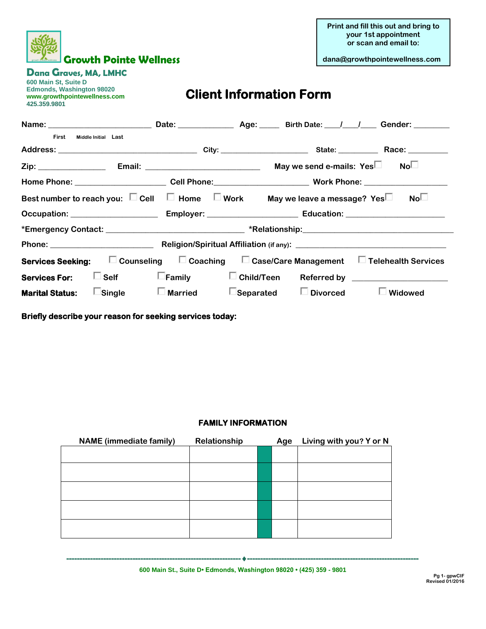

**Print and fill this out and bring to your 1st appointment or scan and email to:**

**Dana Graves, MA, LMHC** 

**600 Main St, Suite D Edmonds, Washington 98020 www.growthpointewellness.com 425.359.9801** 

## **Client Information Form**

| Name: Campbell Contains Containing Date: Campbell Contains Age: Contains Birth Date: (1) (Contains Contains Li    |                                    |  |                                                                                                                |                                                 |  |  |  |
|-------------------------------------------------------------------------------------------------------------------|------------------------------------|--|----------------------------------------------------------------------------------------------------------------|-------------------------------------------------|--|--|--|
| First<br>Middle Initial Last                                                                                      |                                    |  |                                                                                                                |                                                 |  |  |  |
|                                                                                                                   |                                    |  |                                                                                                                |                                                 |  |  |  |
|                                                                                                                   |                                    |  | May we send e-mails: $Yes \Box$ No $\Box$                                                                      |                                                 |  |  |  |
|                                                                                                                   |                                    |  | Home Phone: ____________________________Cell Phone:____________________________Work Phone: ___________________ |                                                 |  |  |  |
| Best number to reach you: $\Box$ Cell $\Box$ Home $\Box$ Work May we leave a message? Yes $\Box$                  |                                    |  |                                                                                                                | No <sup>1</sup>                                 |  |  |  |
|                                                                                                                   |                                    |  |                                                                                                                |                                                 |  |  |  |
|                                                                                                                   |                                    |  |                                                                                                                |                                                 |  |  |  |
|                                                                                                                   |                                    |  |                                                                                                                |                                                 |  |  |  |
| <b>Services Seeking:</b> $\Box$ Counseling $\Box$ Coaching $\Box$ Case/Care Management $\Box$ Telehealth Services |                                    |  |                                                                                                                |                                                 |  |  |  |
| Services For: $\Box$ Self                                                                                         | $\square$ Family                   |  |                                                                                                                | □ Child/Teen Referred by ______________________ |  |  |  |
| <b>Marital Status:</b>                                                                                            | $\square$ Single $\square$ Married |  | $\square$ Separated $\square$ Divorced                                                                         | $\Box$ Widowed                                  |  |  |  |

**Briefly describe your reason for seeking services today:** 

## **FAMILY INFORMATION**

| <b>NAME</b> (immediate family) | Relationship | Age | Living with you? Y or N |
|--------------------------------|--------------|-----|-------------------------|
|                                |              |     |                         |
|                                |              |     |                         |
|                                |              |     |                         |
|                                |              |     |                         |
|                                |              |     |                         |

**----------------------------------------------------------------------------------------------------------------------------------- 600 Main St., Suite D• Edmonds, Washington 98020 • (425) 359 - 9801**